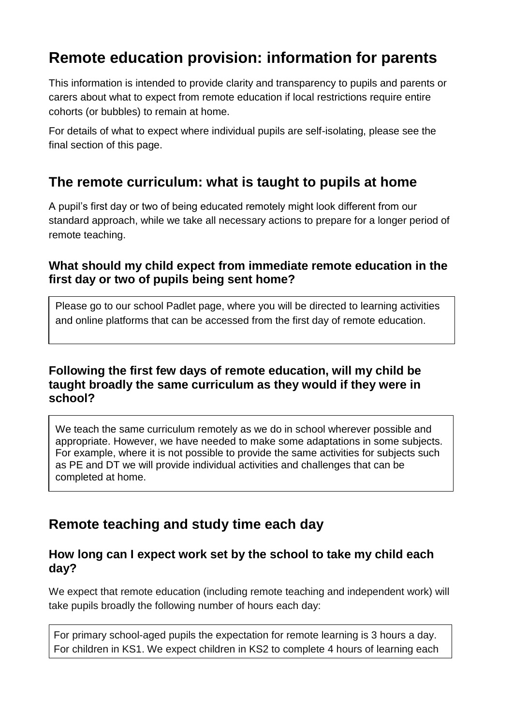# **Remote education provision: information for parents**

This information is intended to provide clarity and transparency to pupils and parents or carers about what to expect from remote education if local restrictions require entire cohorts (or bubbles) to remain at home.

For details of what to expect where individual pupils are self-isolating, please see the final section of this page.

## **The remote curriculum: what is taught to pupils at home**

A pupil's first day or two of being educated remotely might look different from our standard approach, while we take all necessary actions to prepare for a longer period of remote teaching.

### **What should my child expect from immediate remote education in the first day or two of pupils being sent home?**

Please go to our school Padlet page, where you will be directed to learning activities and online platforms that can be accessed from the first day of remote education.

### **Following the first few days of remote education, will my child be taught broadly the same curriculum as they would if they were in school?**

We teach the same curriculum remotely as we do in school wherever possible and appropriate. However, we have needed to make some adaptations in some subjects. For example, where it is not possible to provide the same activities for subjects such as PE and DT we will provide individual activities and challenges that can be completed at home.

## **Remote teaching and study time each day**

### **How long can I expect work set by the school to take my child each day?**

We expect that remote education (including remote teaching and independent work) will take pupils broadly the following number of hours each day:

For primary school-aged pupils the expectation for remote learning is 3 hours a day. For children in KS1. We expect children in KS2 to complete 4 hours of learning each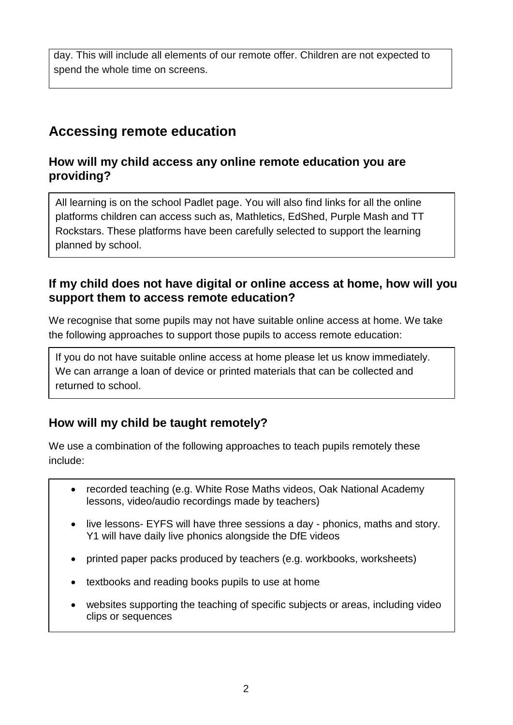day. This will include all elements of our remote offer. Children are not expected to spend the whole time on screens.

## **Accessing remote education**

## **How will my child access any online remote education you are providing?**

All learning is on the school Padlet page. You will also find links for all the online platforms children can access such as, Mathletics, EdShed, Purple Mash and TT Rockstars. These platforms have been carefully selected to support the learning planned by school.

#### **If my child does not have digital or online access at home, how will you support them to access remote education?**

We recognise that some pupils may not have suitable online access at home. We take the following approaches to support those pupils to access remote education:

If you do not have suitable online access at home please let us know immediately. We can arrange a loan of device or printed materials that can be collected and returned to school.

## **How will my child be taught remotely?**

We use a combination of the following approaches to teach pupils remotely these include:

- recorded teaching (e.g. White Rose Maths videos, Oak National Academy lessons, video/audio recordings made by teachers)
- live lessons- EYFS will have three sessions a day phonics, maths and story. Y1 will have daily live phonics alongside the DfE videos
- printed paper packs produced by teachers (e.g. workbooks, worksheets)
- textbooks and reading books pupils to use at home
- websites supporting the teaching of specific subjects or areas, including video clips or sequences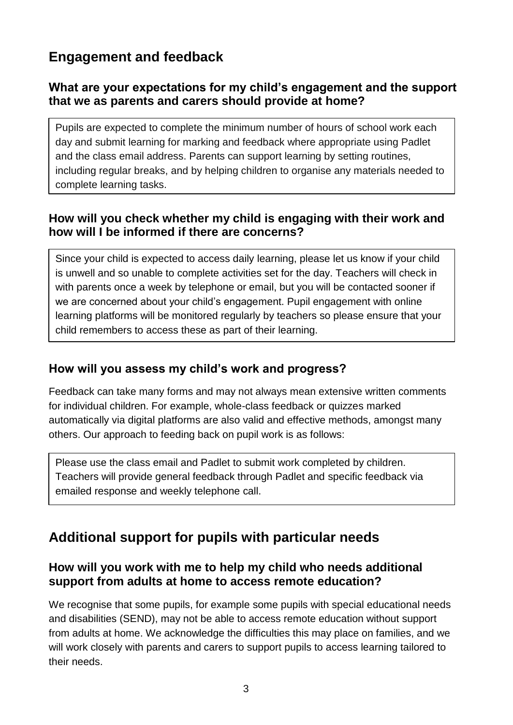## **Engagement and feedback**

## **What are your expectations for my child's engagement and the support that we as parents and carers should provide at home?**

Pupils are expected to complete the minimum number of hours of school work each day and submit learning for marking and feedback where appropriate using Padlet and the class email address. Parents can support learning by setting routines, including regular breaks, and by helping children to organise any materials needed to complete learning tasks.

## **How will you check whether my child is engaging with their work and how will I be informed if there are concerns?**

Since your child is expected to access daily learning, please let us know if your child is unwell and so unable to complete activities set for the day. Teachers will check in with parents once a week by telephone or email, but you will be contacted sooner if we are concerned about your child's engagement. Pupil engagement with online learning platforms will be monitored regularly by teachers so please ensure that your child remembers to access these as part of their learning.

## **How will you assess my child's work and progress?**

Feedback can take many forms and may not always mean extensive written comments for individual children. For example, whole-class feedback or quizzes marked automatically via digital platforms are also valid and effective methods, amongst many others. Our approach to feeding back on pupil work is as follows:

Please use the class email and Padlet to submit work completed by children. Teachers will provide general feedback through Padlet and specific feedback via emailed response and weekly telephone call.

## **Additional support for pupils with particular needs**

### **How will you work with me to help my child who needs additional support from adults at home to access remote education?**

We recognise that some pupils, for example some pupils with special educational needs and disabilities (SEND), may not be able to access remote education without support from adults at home. We acknowledge the difficulties this may place on families, and we will work closely with parents and carers to support pupils to access learning tailored to their needs.